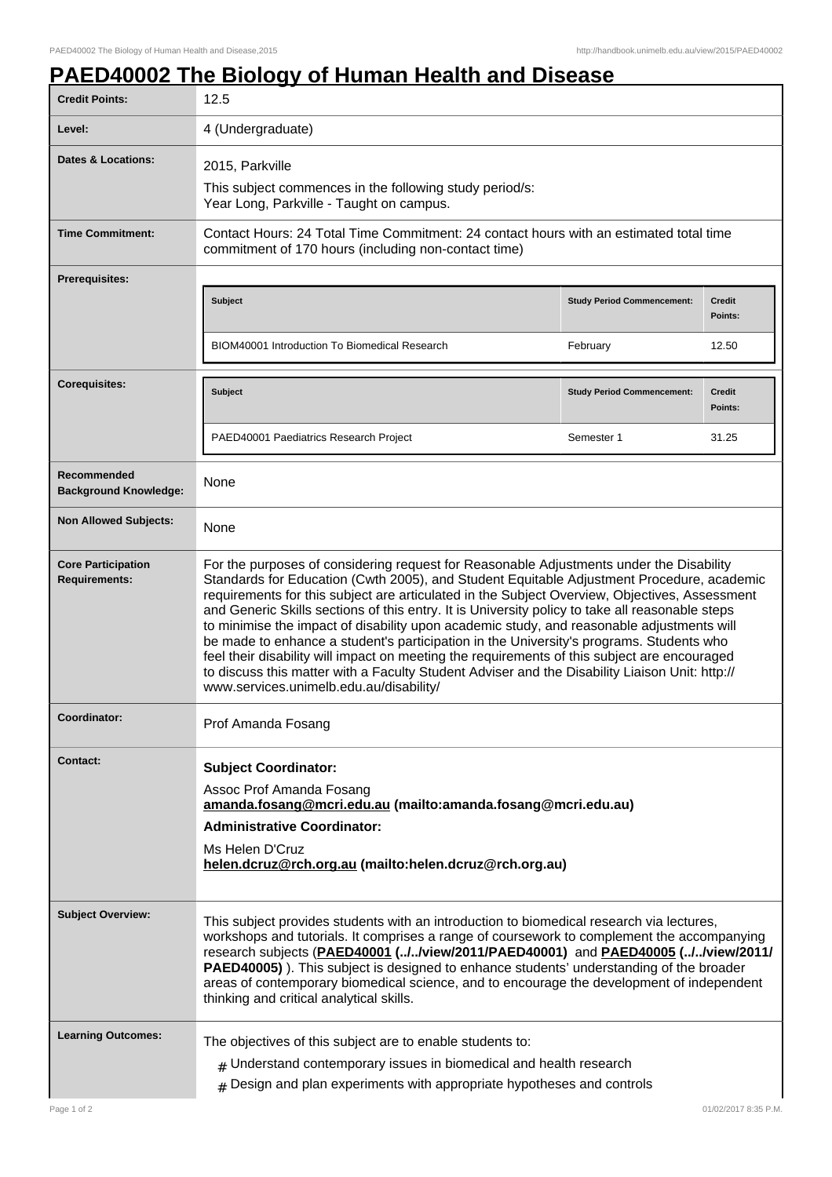## **PAED40002 The Biology of Human Health and Disease**

| <b>Credit Points:</b>                             | 12.5                                                                                                                                                                                                                                                                                                                                                                                                                                                                                                                                                                                                                                                                                                                                                                                                                          |                                   |                          |
|---------------------------------------------------|-------------------------------------------------------------------------------------------------------------------------------------------------------------------------------------------------------------------------------------------------------------------------------------------------------------------------------------------------------------------------------------------------------------------------------------------------------------------------------------------------------------------------------------------------------------------------------------------------------------------------------------------------------------------------------------------------------------------------------------------------------------------------------------------------------------------------------|-----------------------------------|--------------------------|
| Level:                                            | 4 (Undergraduate)                                                                                                                                                                                                                                                                                                                                                                                                                                                                                                                                                                                                                                                                                                                                                                                                             |                                   |                          |
| <b>Dates &amp; Locations:</b>                     | 2015, Parkville<br>This subject commences in the following study period/s:<br>Year Long, Parkville - Taught on campus.                                                                                                                                                                                                                                                                                                                                                                                                                                                                                                                                                                                                                                                                                                        |                                   |                          |
| <b>Time Commitment:</b>                           | Contact Hours: 24 Total Time Commitment: 24 contact hours with an estimated total time<br>commitment of 170 hours (including non-contact time)                                                                                                                                                                                                                                                                                                                                                                                                                                                                                                                                                                                                                                                                                |                                   |                          |
| Prerequisites:                                    |                                                                                                                                                                                                                                                                                                                                                                                                                                                                                                                                                                                                                                                                                                                                                                                                                               |                                   |                          |
|                                                   | Subject                                                                                                                                                                                                                                                                                                                                                                                                                                                                                                                                                                                                                                                                                                                                                                                                                       | <b>Study Period Commencement:</b> | <b>Credit</b><br>Points: |
|                                                   | BIOM40001 Introduction To Biomedical Research                                                                                                                                                                                                                                                                                                                                                                                                                                                                                                                                                                                                                                                                                                                                                                                 | February                          | 12.50                    |
| <b>Corequisites:</b>                              | Subject                                                                                                                                                                                                                                                                                                                                                                                                                                                                                                                                                                                                                                                                                                                                                                                                                       | <b>Study Period Commencement:</b> | <b>Credit</b><br>Points: |
|                                                   | PAED40001 Paediatrics Research Project                                                                                                                                                                                                                                                                                                                                                                                                                                                                                                                                                                                                                                                                                                                                                                                        | Semester 1                        | 31.25                    |
| Recommended<br><b>Background Knowledge:</b>       | None                                                                                                                                                                                                                                                                                                                                                                                                                                                                                                                                                                                                                                                                                                                                                                                                                          |                                   |                          |
| <b>Non Allowed Subjects:</b>                      | None                                                                                                                                                                                                                                                                                                                                                                                                                                                                                                                                                                                                                                                                                                                                                                                                                          |                                   |                          |
| <b>Core Participation</b><br><b>Requirements:</b> | For the purposes of considering request for Reasonable Adjustments under the Disability<br>Standards for Education (Cwth 2005), and Student Equitable Adjustment Procedure, academic<br>requirements for this subject are articulated in the Subject Overview, Objectives, Assessment<br>and Generic Skills sections of this entry. It is University policy to take all reasonable steps<br>to minimise the impact of disability upon academic study, and reasonable adjustments will<br>be made to enhance a student's participation in the University's programs. Students who<br>feel their disability will impact on meeting the requirements of this subject are encouraged<br>to discuss this matter with a Faculty Student Adviser and the Disability Liaison Unit: http://<br>www.services.unimelb.edu.au/disability/ |                                   |                          |
| Coordinator:                                      | Prof Amanda Fosang                                                                                                                                                                                                                                                                                                                                                                                                                                                                                                                                                                                                                                                                                                                                                                                                            |                                   |                          |
| <b>Contact:</b>                                   | <b>Subject Coordinator:</b><br>Assoc Prof Amanda Fosang<br>amanda.fosang@mcri.edu.au (mailto:amanda.fosang@mcri.edu.au)<br><b>Administrative Coordinator:</b><br>Ms Helen D'Cruz<br>helen.dcruz@rch.org.au (mailto:helen.dcruz@rch.org.au)                                                                                                                                                                                                                                                                                                                                                                                                                                                                                                                                                                                    |                                   |                          |
| <b>Subject Overview:</b>                          | This subject provides students with an introduction to biomedical research via lectures,<br>workshops and tutorials. It comprises a range of coursework to complement the accompanying<br>research subjects (PAED40001 (//view/2011/PAED40001) and PAED40005 (//view/2011/<br>PAED40005). This subject is designed to enhance students' understanding of the broader<br>areas of contemporary biomedical science, and to encourage the development of independent<br>thinking and critical analytical skills.                                                                                                                                                                                                                                                                                                                 |                                   |                          |
| <b>Learning Outcomes:</b>                         | The objectives of this subject are to enable students to:<br>$#$ Understand contemporary issues in biomedical and health research<br>$#$ Design and plan experiments with appropriate hypotheses and controls                                                                                                                                                                                                                                                                                                                                                                                                                                                                                                                                                                                                                 |                                   |                          |